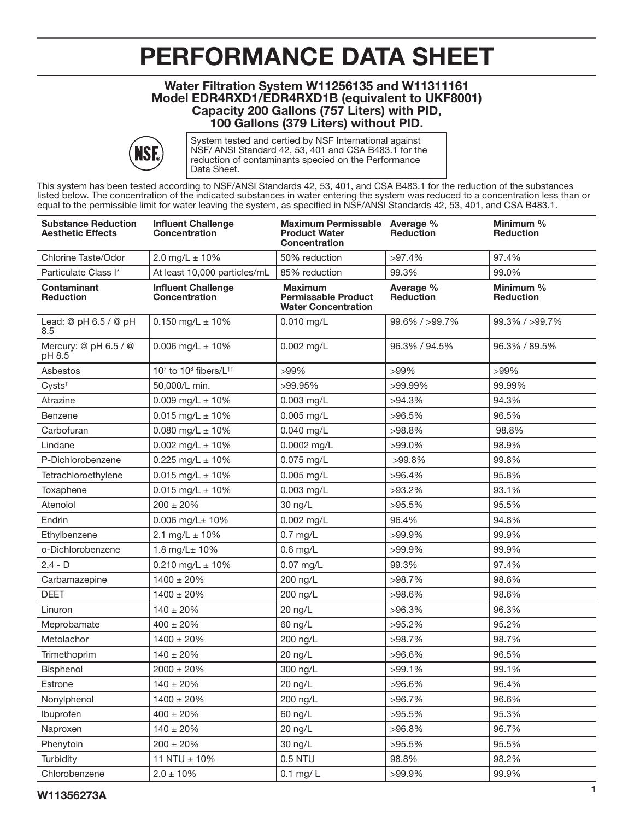## PERFORMANCE DATA SHEET

## Water Filtration System W11256135 and W11311161 Model EDR4RXD1/EDR4RXD1B (equivalent to UKF8001) Capacity 200 Gallons (757 Liters) with PID, 100 Gallons (379 Liters) without PID.



System tested and certied by NSF International against NSF/ ANSI Standard 42, 53, 401 and CSA B483.1 for the reduction of contaminants specied on the Performance Data Sheet.

This system has been tested according to NSF/ANSI Standards 42, 53, 401, and CSA B483.1 for the reduction of the substances listed below. The concentration of the indicated substances in water entering the system was reduced to a concentration less than or equal to the permissible limit for water leaving the system, as specified in NSF/ANSI Standards 42, 53, 401, and CSA B483.1.

| <b>Substance Reduction</b><br><b>Aesthetic Effects</b> | <b>Influent Challenge</b><br><b>Concentration</b> | Maximum Permissable Average %<br><b>Product Water</b><br><b>Concentration</b> | <b>Reduction</b>              | Minimum %<br><b>Reduction</b> |
|--------------------------------------------------------|---------------------------------------------------|-------------------------------------------------------------------------------|-------------------------------|-------------------------------|
| Chlorine Taste/Odor                                    | 2.0 mg/L $\pm$ 10%                                | 50% reduction                                                                 | $>97.4\%$                     | 97.4%                         |
| Particulate Class I*                                   | At least 10,000 particles/mL                      | 85% reduction                                                                 | 99.3%                         | 99.0%                         |
| <b>Contaminant</b><br><b>Reduction</b>                 | <b>Influent Challenge</b><br><b>Concentration</b> | <b>Maximum</b><br><b>Permissable Product</b><br><b>Water Concentration</b>    | Average %<br><b>Reduction</b> | Minimum %<br><b>Reduction</b> |
| Lead: @ pH 6.5 / @ pH<br>8.5                           | $0.150$ mg/L $\pm$ 10%                            | 0.010 mg/L                                                                    | 99.6% / >99.7%                | 99.3% / > 99.7%               |
| Mercury: @ pH 6.5 / @<br>pH 8.5                        | 0.006 mg/L $\pm$ 10%                              | 0.002 mg/L                                                                    | 96.3% / 94.5%                 | 96.3% / 89.5%                 |
| Asbestos                                               | 107 to 10 <sup>8</sup> fibers/L <sup>++</sup>     | >99%                                                                          | >99%                          | >99%                          |
| $Cysts^{\dagger}$                                      | 50,000/L min.                                     | >99.95%                                                                       | >99.99%                       | 99.99%                        |
| Atrazine                                               | 0.009 mg/L $\pm$ 10%                              | 0.003 mg/L                                                                    | $>94.3\%$                     | 94.3%                         |
| <b>Benzene</b>                                         | $0.015$ mg/L $\pm$ 10%                            | 0.005 mg/L                                                                    | $>96.5\%$                     | 96.5%                         |
| Carbofuran                                             | 0.080 mg/L $\pm$ 10%                              | 0.040 mg/L                                                                    | $>98.8\%$                     | 98.8%                         |
| Lindane                                                | $0.002$ mg/L $\pm$ 10%                            | 0.0002 mg/L                                                                   | >99.0%                        | 98.9%                         |
| P-Dichlorobenzene                                      | 0.225 mg/L $\pm$ 10%                              | 0.075 mg/L                                                                    | $>99.8\%$                     | 99.8%                         |
| Tetrachloroethylene                                    | $0.015$ mg/L $\pm$ 10%                            | $0.005$ mg/L                                                                  | >96.4%                        | 95.8%                         |
| Toxaphene                                              | $0.015$ mg/L $\pm$ 10%                            | 0.003 mg/L                                                                    | $>93.2\%$                     | 93.1%                         |
| Atenolol                                               | $200 \pm 20\%$                                    | 30 ng/L                                                                       | >95.5%                        | 95.5%                         |
| Endrin                                                 | $0.006$ mg/L $\pm$ 10%                            | 0.002 mg/L                                                                    | 96.4%                         | 94.8%                         |
| Ethylbenzene                                           | 2.1 mg/L $\pm$ 10%                                | $0.7$ mg/L                                                                    | >99.9%                        | 99.9%                         |
| o-Dichlorobenzene                                      | 1.8 mg/L± 10%                                     | $0.6$ mg/L                                                                    | >99.9%                        | 99.9%                         |
| $2,4 - D$                                              | $0.210$ mg/L $\pm$ 10%                            | 0.07 mg/L                                                                     | 99.3%                         | 97.4%                         |
| Carbamazepine                                          | $1400 \pm 20\%$                                   | 200 ng/L                                                                      | $>98.7\%$                     | 98.6%                         |
| <b>DEET</b>                                            | $1400 \pm 20\%$                                   | 200 ng/L                                                                      | >98.6%                        | 98.6%                         |
| Linuron                                                | $140 \pm 20\%$                                    | 20 ng/L                                                                       | $>96.3\%$                     | 96.3%                         |
| Meprobamate                                            | $400 \pm 20\%$                                    | 60 ng/L                                                                       | $>95.2\%$                     | 95.2%                         |
| Metolachor                                             | $1400 \pm 20\%$                                   | 200 ng/L                                                                      | $>98.7\%$                     | 98.7%                         |
| Trimethoprim                                           | $140 \pm 20 \%$                                   | 20 ng/L                                                                       | >96.6%                        | 96.5%                         |
| Bisphenol                                              | $2000 \pm 20\%$                                   | 300 ng/L                                                                      | $>99.1\%$                     | 99.1%                         |
| Estrone                                                | $140 \pm 20\%$                                    | 20 ng/L                                                                       | >96.6%                        | 96.4%                         |
| Nonylphenol                                            | $1400 \pm 20 \%$                                  | 200 ng/L                                                                      | $>96.7\%$                     | 96.6%                         |
| Ibuprofen                                              | $400 \pm 20\%$                                    | 60 ng/L                                                                       | $>95.5\%$                     | 95.3%                         |
| Naproxen                                               | $140 \pm 20 \%$                                   | 20 ng/L                                                                       | >96.8%                        | 96.7%                         |
| Phenytoin                                              | $200 \pm 20\%$                                    | 30 ng/L                                                                       | $>95.5\%$                     | 95.5%                         |
| Turbidity                                              | 11 NTU $\pm$ 10%                                  | 0.5 NTU                                                                       | 98.8%                         | 98.2%                         |
| Chlorobenzene                                          | $2.0 \pm 10\%$                                    | $0.1$ mg/ $L$                                                                 | >99.9%                        | 99.9%                         |